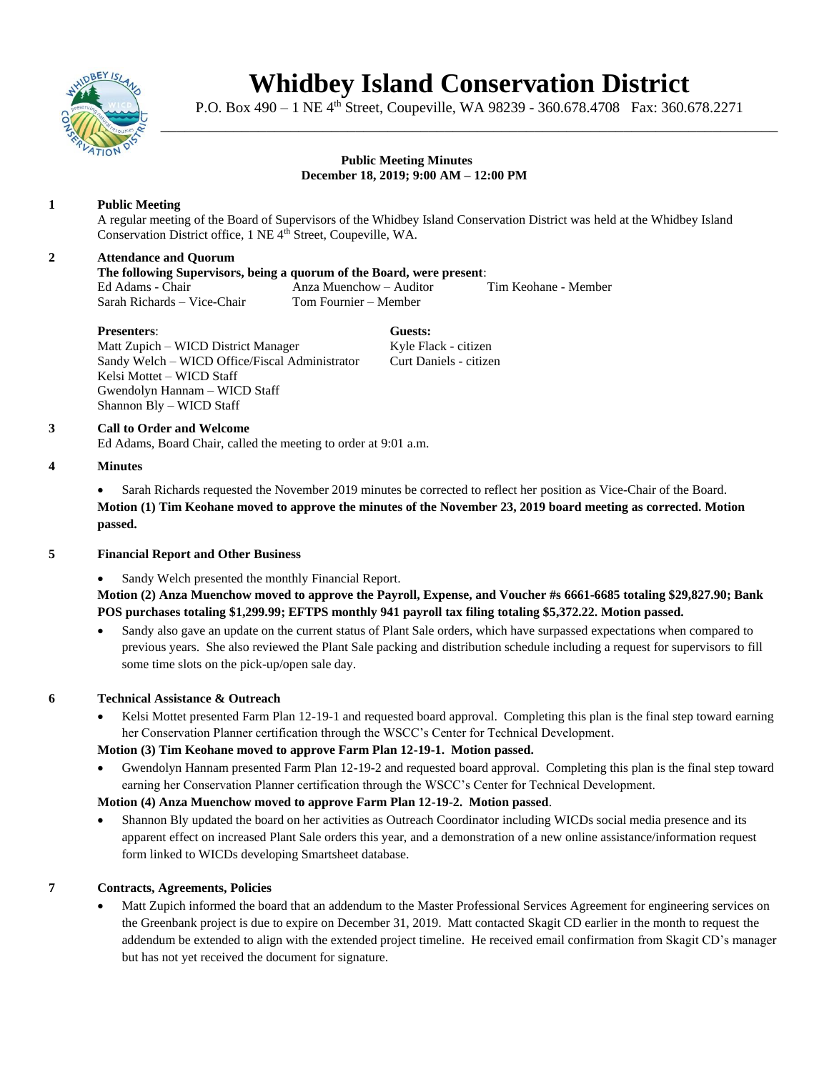

# **Whidbey Island Conservation District**

P.O. Box 490 – 1 NE 4<sup>th</sup> Street, Coupeville, WA 98239 - 360.678.4708 Fax: 360.678.2271 \_\_\_\_\_\_\_\_\_\_\_\_\_\_\_\_\_\_\_\_\_\_\_\_\_\_\_\_\_\_\_\_\_\_\_\_\_\_\_\_\_\_\_\_\_\_\_\_\_\_\_\_\_\_\_\_\_\_\_\_\_\_\_\_\_\_\_\_\_\_\_\_\_\_\_\_

#### **Public Meeting Minutes December 18, 2019; 9:00 AM – 12:00 PM**

# **1 Public Meeting**

A regular meeting of the Board of Supervisors of the Whidbey Island Conservation District was held at the Whidbey Island Conservation District office, 1 NE 4<sup>th</sup> Street, Coupeville, WA.

## **2 Attendance and Quorum**

## **The following Supervisors, being a quorum of the Board, were present**:

Ed Adams - Chair Anza Muenchow – Auditor Tim Keohane - Member Sarah Richards – Vice-Chair Tom Fournier – Member

**Presenters**: **Guests:** Matt Zupich – WICD District Manager Kyle Flack - citizen Sandy Welch – WICD Office/Fiscal Administrator Curt Daniels - citizen Kelsi Mottet – WICD Staff Gwendolyn Hannam – WICD Staff Shannon Bly – WICD Staff

## **3 Call to Order and Welcome**

Ed Adams, Board Chair, called the meeting to order at 9:01 a.m.

#### **4 Minutes**

• Sarah Richards requested the November 2019 minutes be corrected to reflect her position as Vice-Chair of the Board. **Motion (1) Tim Keohane moved to approve the minutes of the November 23, 2019 board meeting as corrected. Motion passed.** 

## **5 Financial Report and Other Business**

Sandy Welch presented the monthly Financial Report.

**Motion (2) Anza Muenchow moved to approve the Payroll, Expense, and Voucher #s 6661-6685 totaling \$29,827.90; Bank POS purchases totaling \$1,299.99; EFTPS monthly 941 payroll tax filing totaling \$5,372.22. Motion passed.** 

• Sandy also gave an update on the current status of Plant Sale orders, which have surpassed expectations when compared to previous years. She also reviewed the Plant Sale packing and distribution schedule including a request for supervisors to fill some time slots on the pick-up/open sale day.

## **6 Technical Assistance & Outreach**

• Kelsi Mottet presented Farm Plan 12-19-1 and requested board approval. Completing this plan is the final step toward earning her Conservation Planner certification through the WSCC's Center for Technical Development.

## **Motion (3) Tim Keohane moved to approve Farm Plan 12-19-1. Motion passed.**

• Gwendolyn Hannam presented Farm Plan 12-19-2 and requested board approval. Completing this plan is the final step toward earning her Conservation Planner certification through the WSCC's Center for Technical Development.

**Motion (4) Anza Muenchow moved to approve Farm Plan 12-19-2. Motion passed**.

• Shannon Bly updated the board on her activities as Outreach Coordinator including WICDs social media presence and its apparent effect on increased Plant Sale orders this year, and a demonstration of a new online assistance/information request form linked to WICDs developing Smartsheet database.

## **7 Contracts, Agreements, Policies**

• Matt Zupich informed the board that an addendum to the Master Professional Services Agreement for engineering services on the Greenbank project is due to expire on December 31, 2019. Matt contacted Skagit CD earlier in the month to request the addendum be extended to align with the extended project timeline. He received email confirmation from Skagit CD's manager but has not yet received the document for signature.